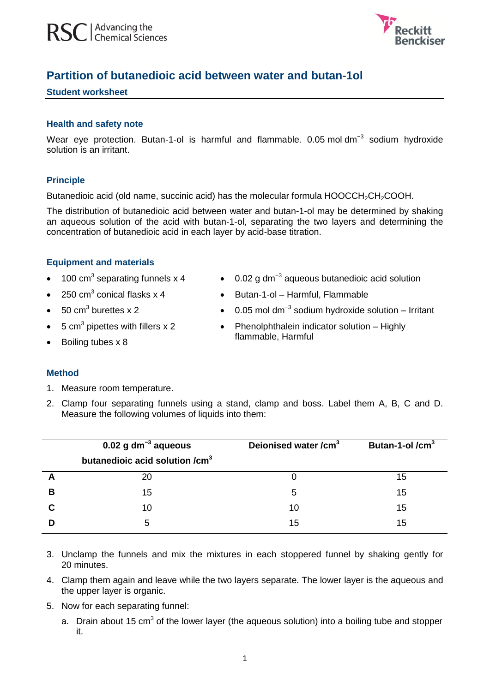

# **Partition of butanedioic acid between water and butan-1ol**

#### **Student worksheet**

#### **Health and safety note**

Wear eye protection. Butan-1-ol is harmful and flammable. 0.05 mol dm<sup>-3</sup> sodium hydroxide solution is an irritant.

## **Principle**

Butanedioic acid (old name, succinic acid) has the molecular formula HOOCCH<sub>2</sub>CH<sub>2</sub>COOH.

The distribution of butanedioic acid between water and butan-1-ol may be determined by shaking an aqueous solution of the acid with butan-1-ol, separating the two layers and determining the concentration of butanedioic acid in each layer by acid-base titration.

## **Equipment and materials**

- $\bullet$  100 cm<sup>3</sup> separating funnels x 4
- $\bullet$  250 cm<sup>3</sup> conical flasks x 4
- $\bullet$  50 cm<sup>3</sup> burettes x 2
- $5 \text{ cm}^3$  pipettes with fillers x 2
- $\bullet$  Boiling tubes  $\times$  8
- 0.02 g dm<sup>-3</sup> aqueous butanedioic acid solution
- Butan-1-ol Harmful, Flammable
- $\bullet$  0.05 mol dm<sup>-3</sup> sodium hydroxide solution Irritant
- Phenolphthalein indicator solution Highly flammable, Harmful

## **Method**

- 1. Measure room temperature.
- 2. Clamp four separating funnels using a stand, clamp and boss. Label them A, B, C and D. Measure the following volumes of liquids into them:

|   | $0.02$ g dm <sup>-3</sup> aqueous          | Deionised water /cm <sup>3</sup> | Butan-1-ol $/cm3$ |
|---|--------------------------------------------|----------------------------------|-------------------|
|   | butanedioic acid solution /cm <sup>3</sup> |                                  |                   |
|   | 20                                         |                                  | 15                |
| В | 15                                         | 5                                | 15                |
|   | 10                                         | 10                               | 15                |
|   | 5                                          | 15                               | 15                |

- 3. Unclamp the funnels and mix the mixtures in each stoppered funnel by shaking gently for 20 minutes.
- 4. Clamp them again and leave while the two layers separate. The lower layer is the aqueous and the upper layer is organic.
- 5. Now for each separating funnel:
	- a. Drain about 15 cm<sup>3</sup> of the lower layer (the aqueous solution) into a boiling tube and stopper it.